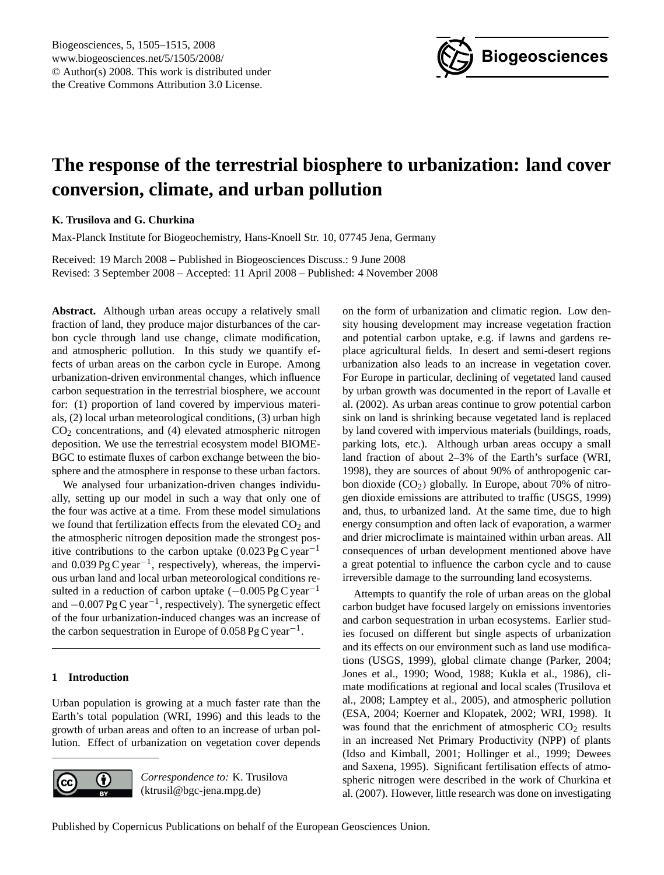

# <span id="page-0-0"></span>**The response of the terrestrial biosphere to urbanization: land cover conversion, climate, and urban pollution**

# **K. Trusilova and G. Churkina**

Max-Planck Institute for Biogeochemistry, Hans-Knoell Str. 10, 07745 Jena, Germany

Received: 19 March 2008 – Published in Biogeosciences Discuss.: 9 June 2008 Revised: 3 September 2008 – Accepted: 11 April 2008 – Published: 4 November 2008

**Abstract.** Although urban areas occupy a relatively small fraction of land, they produce major disturbances of the carbon cycle through land use change, climate modification, and atmospheric pollution. In this study we quantify effects of urban areas on the carbon cycle in Europe. Among urbanization-driven environmental changes, which influence carbon sequestration in the terrestrial biosphere, we account for: (1) proportion of land covered by impervious materials, (2) local urban meteorological conditions, (3) urban high  $CO<sub>2</sub>$  concentrations, and (4) elevated atmospheric nitrogen deposition. We use the terrestrial ecosystem model BIOME-BGC to estimate fluxes of carbon exchange between the biosphere and the atmosphere in response to these urban factors.

We analysed four urbanization-driven changes individually, setting up our model in such a way that only one of the four was active at a time. From these model simulations we found that fertilization effects from the elevated  $CO<sub>2</sub>$  and the atmospheric nitrogen deposition made the strongest positive contributions to the carbon uptake  $(0.023 \text{ Pg C year}^{-1})$ and  $0.039 \text{ pg C year}^{-1}$ , respectively), whereas, the impervious urban land and local urban meteorological conditions resulted in a reduction of carbon uptake  $(-0.005 \text{ Pg C year}^{-1})$ and −0.007 Pg C year−<sup>1</sup> , respectively). The synergetic effect of the four urbanization-induced changes was an increase of the carbon sequestration in Europe of  $0.058 \text{ pg C year}^{-1}$ .

# **1 Introduction**

Urban population is growing at a much faster rate than the Earth's total population (WRI, 1996) and this leads to the growth of urban areas and often to an increase of urban pollution. Effect of urbanization on vegetation cover depends



*Correspondence to:* K. Trusilova (ktrusil@bgc-jena.mpg.de)

on the form of urbanization and climatic region. Low density housing development may increase vegetation fraction and potential carbon uptake, e.g. if lawns and gardens replace agricultural fields. In desert and semi-desert regions urbanization also leads to an increase in vegetation cover. For Europe in particular, declining of vegetated land caused by urban growth was documented in the report of Lavalle et al. (2002). As urban areas continue to grow potential carbon sink on land is shrinking because vegetated land is replaced by land covered with impervious materials (buildings, roads, parking lots, etc.). Although urban areas occupy a small land fraction of about 2–3% of the Earth's surface (WRI, 1998), they are sources of about 90% of anthropogenic carbon dioxide (CO2) globally. In Europe, about 70% of nitrogen dioxide emissions are attributed to traffic (USGS, 1999) and, thus, to urbanized land. At the same time, due to high energy consumption and often lack of evaporation, a warmer and drier microclimate is maintained within urban areas. All consequences of urban development mentioned above have a great potential to influence the carbon cycle and to cause irreversible damage to the surrounding land ecosystems.

Attempts to quantify the role of urban areas on the global carbon budget have focused largely on emissions inventories and carbon sequestration in urban ecosystems. Earlier studies focused on different but single aspects of urbanization and its effects on our environment such as land use modifications (USGS, 1999), global climate change (Parker, 2004; Jones et al., 1990; Wood, 1988; Kukla et al., 1986), climate modifications at regional and local scales (Trusilova et al., 2008; Lamptey et al., 2005), and atmospheric pollution (ESA, 2004; Koerner and Klopatek, 2002; WRI, 1998). It was found that the enrichment of atmospheric  $CO<sub>2</sub>$  results in an increased Net Primary Productivity (NPP) of plants (Idso and Kimball, 2001; Hollinger et al., 1999; Dewees and Saxena, 1995). Significant fertilisation effects of atmospheric nitrogen were described in the work of Churkina et al. (2007). However, little research was done on investigating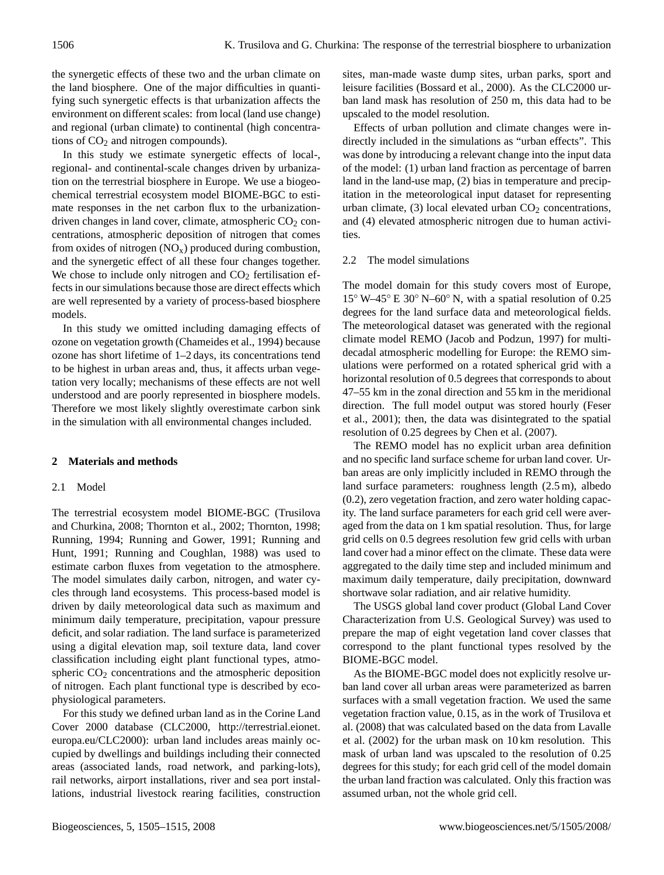the synergetic effects of these two and the urban climate on the land biosphere. One of the major difficulties in quantifying such synergetic effects is that urbanization affects the environment on different scales: from local (land use change) and regional (urban climate) to continental (high concentrations of  $CO<sub>2</sub>$  and nitrogen compounds).

In this study we estimate synergetic effects of local-, regional- and continental-scale changes driven by urbanization on the terrestrial biosphere in Europe. We use a biogeochemical terrestrial ecosystem model BIOME-BGC to estimate responses in the net carbon flux to the urbanizationdriven changes in land cover, climate, atmospheric  $CO<sub>2</sub>$  concentrations, atmospheric deposition of nitrogen that comes from oxides of nitrogen  $(NO_x)$  produced during combustion, and the synergetic effect of all these four changes together. We chose to include only nitrogen and  $CO<sub>2</sub>$  fertilisation effects in our simulations because those are direct effects which are well represented by a variety of process-based biosphere models.

In this study we omitted including damaging effects of ozone on vegetation growth (Chameides et al., 1994) because ozone has short lifetime of 1–2 days, its concentrations tend to be highest in urban areas and, thus, it affects urban vegetation very locally; mechanisms of these effects are not well understood and are poorly represented in biosphere models. Therefore we most likely slightly overestimate carbon sink in the simulation with all environmental changes included.

#### **2 Materials and methods**

## 2.1 Model

The terrestrial ecosystem model BIOME-BGC (Trusilova and Churkina, 2008; Thornton et al., 2002; Thornton, 1998; Running, 1994; Running and Gower, 1991; Running and Hunt, 1991; Running and Coughlan, 1988) was used to estimate carbon fluxes from vegetation to the atmosphere. The model simulates daily carbon, nitrogen, and water cycles through land ecosystems. This process-based model is driven by daily meteorological data such as maximum and minimum daily temperature, precipitation, vapour pressure deficit, and solar radiation. The land surface is parameterized using a digital elevation map, soil texture data, land cover classification including eight plant functional types, atmospheric  $CO<sub>2</sub>$  concentrations and the atmospheric deposition of nitrogen. Each plant functional type is described by ecophysiological parameters.

For this study we defined urban land as in the Corine Land Cover 2000 database (CLC2000, [http://terrestrial.eionet.](http://terrestrial.eionet.europa.eu/CLC2000) [europa.eu/CLC2000\)](http://terrestrial.eionet.europa.eu/CLC2000): urban land includes areas mainly occupied by dwellings and buildings including their connected areas (associated lands, road network, and parking-lots), rail networks, airport installations, river and sea port installations, industrial livestock rearing facilities, construction sites, man-made waste dump sites, urban parks, sport and leisure facilities (Bossard et al., 2000). As the CLC2000 urban land mask has resolution of 250 m, this data had to be upscaled to the model resolution.

Effects of urban pollution and climate changes were indirectly included in the simulations as "urban effects". This was done by introducing a relevant change into the input data of the model: (1) urban land fraction as percentage of barren land in the land-use map, (2) bias in temperature and precipitation in the meteorological input dataset for representing urban climate,  $(3)$  local elevated urban  $CO<sub>2</sub>$  concentrations, and (4) elevated atmospheric nitrogen due to human activities.

#### 2.2 The model simulations

The model domain for this study covers most of Europe, 15◦ W–45◦ E 30◦ N–60◦ N, with a spatial resolution of 0.25 degrees for the land surface data and meteorological fields. The meteorological dataset was generated with the regional climate model REMO (Jacob and Podzun, 1997) for multidecadal atmospheric modelling for Europe: the REMO simulations were performed on a rotated spherical grid with a horizontal resolution of 0.5 degrees that corresponds to about 47–55 km in the zonal direction and 55 km in the meridional direction. The full model output was stored hourly (Feser et al., 2001); then, the data was disintegrated to the spatial resolution of 0.25 degrees by Chen et al. (2007).

The REMO model has no explicit urban area definition and no specific land surface scheme for urban land cover. Urban areas are only implicitly included in REMO through the land surface parameters: roughness length (2.5 m), albedo (0.2), zero vegetation fraction, and zero water holding capacity. The land surface parameters for each grid cell were averaged from the data on 1 km spatial resolution. Thus, for large grid cells on 0.5 degrees resolution few grid cells with urban land cover had a minor effect on the climate. These data were aggregated to the daily time step and included minimum and maximum daily temperature, daily precipitation, downward shortwave solar radiation, and air relative humidity.

The USGS global land cover product (Global Land Cover Characterization from U.S. Geological Survey) was used to prepare the map of eight vegetation land cover classes that correspond to the plant functional types resolved by the BIOME-BGC model.

As the BIOME-BGC model does not explicitly resolve urban land cover all urban areas were parameterized as barren surfaces with a small vegetation fraction. We used the same vegetation fraction value, 0.15, as in the work of Trusilova et al. (2008) that was calculated based on the data from Lavalle et al. (2002) for the urban mask on 10 km resolution. This mask of urban land was upscaled to the resolution of 0.25 degrees for this study; for each grid cell of the model domain the urban land fraction was calculated. Only this fraction was assumed urban, not the whole grid cell.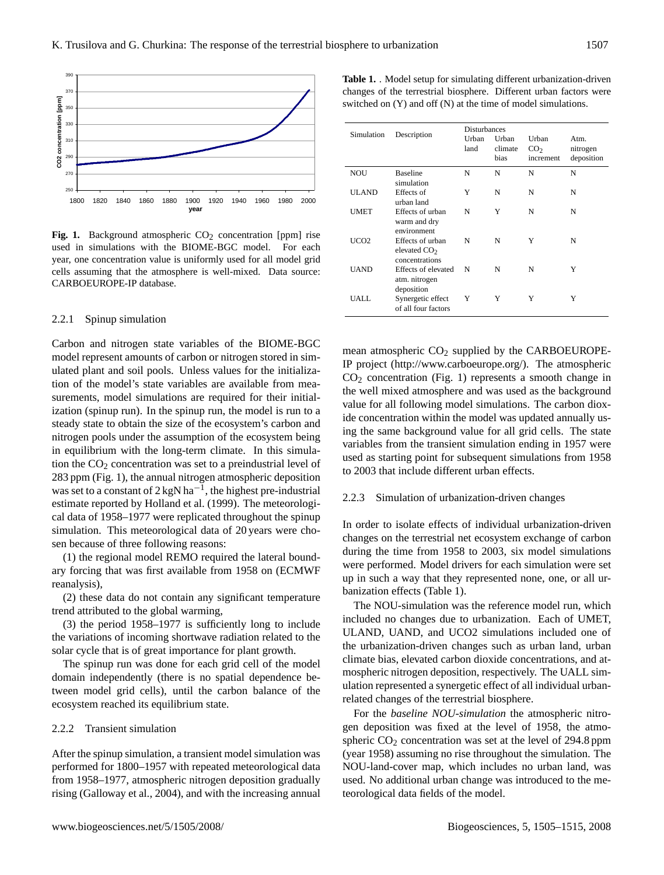

**Fig. 1.** Background atmospheric  $CO<sub>2</sub>$  concentration [ppm] rise used in simulations with the BIOME-BGC model. For each year, one concentration value is uniformly used for all model grid cells assuming that the atmosphere is well-mixed. Data source: CARBOEUROPE-IP database.

## 2.2.1 Spinup simulation

Carbon and nitrogen state variables of the BIOME-BGC model represent amounts of carbon or nitrogen stored in simulated plant and soil pools. Unless values for the initialization of the model's state variables are available from measurements, model simulations are required for their initialization (spinup run). In the spinup run, the model is run to a steady state to obtain the size of the ecosystem's carbon and nitrogen pools under the assumption of the ecosystem being in equilibrium with the long-term climate. In this simulation the  $CO<sub>2</sub>$  concentration was set to a preindustrial level of 283 ppm (Fig. 1), the annual nitrogen atmospheric deposition was set to a constant of  $2 \text{ kgN} \text{ ha}^{-1}$ , the highest pre-industrial estimate reported by Holland et al. (1999). The meteorological data of 1958–1977 were replicated throughout the spinup simulation. This meteorological data of 20 years were chosen because of three following reasons:

(1) the regional model REMO required the lateral boundary forcing that was first available from 1958 on (ECMWF reanalysis),

(2) these data do not contain any significant temperature trend attributed to the global warming,

(3) the period 1958–1977 is sufficiently long to include the variations of incoming shortwave radiation related to the solar cycle that is of great importance for plant growth.

The spinup run was done for each grid cell of the model domain independently (there is no spatial dependence between model grid cells), until the carbon balance of the ecosystem reached its equilibrium state.

#### 2.2.2 Transient simulation

After the spinup simulation, a transient model simulation was performed for 1800–1957 with repeated meteorological data from 1958–1977, atmospheric nitrogen deposition gradually rising (Galloway et al., 2004), and with the increasing annual **Table 1.** . Model setup for simulating different urbanization-driven changes of the terrestrial biosphere. Different urban factors were switched on (Y) and off (N) at the time of model simulations.

| Simulation  | Description                                          | <b>Disturbances</b><br>Urban<br>land | Urban<br>climate<br>bias | Urban<br>CO <sub>2</sub><br>increment | Atm.<br>nitrogen<br>deposition |
|-------------|------------------------------------------------------|--------------------------------------|--------------------------|---------------------------------------|--------------------------------|
| <b>NOU</b>  | <b>Baseline</b><br>simulation                        | N                                    | N                        | N                                     | N                              |
| ULAND       | Effects of<br>urban land                             | Y                                    | N                        | N                                     | N                              |
| UMET        | Effects of urban<br>warm and dry<br>environment      | N                                    | Y                        | N                                     | N                              |
| UCO2        | Effects of urban<br>elevated $CO2$<br>concentrations | N                                    | N                        | Y                                     | N                              |
| <b>UAND</b> | Effects of elevated<br>atm. nitrogen<br>deposition   | N                                    | N                        | N                                     | Y                              |
| UALL        | Synergetic effect<br>of all four factors             | Y                                    | Y                        | Y                                     | Y                              |

mean atmospheric  $CO<sub>2</sub>$  supplied by the CARBOEUROPE-IP project [\(http://www.carboeurope.org/\)](http://www.carboeurope.org/). The atmospheric  $CO<sub>2</sub>$  concentration (Fig. 1) represents a smooth change in the well mixed atmosphere and was used as the background value for all following model simulations. The carbon dioxide concentration within the model was updated annually using the same background value for all grid cells. The state variables from the transient simulation ending in 1957 were used as starting point for subsequent simulations from 1958 to 2003 that include different urban effects.

#### 2.2.3 Simulation of urbanization-driven changes

In order to isolate effects of individual urbanization-driven changes on the terrestrial net ecosystem exchange of carbon during the time from 1958 to 2003, six model simulations were performed. Model drivers for each simulation were set up in such a way that they represented none, one, or all urbanization effects (Table 1).

The NOU-simulation was the reference model run, which included no changes due to urbanization. Each of UMET, ULAND, UAND, and UCO2 simulations included one of the urbanization-driven changes such as urban land, urban climate bias, elevated carbon dioxide concentrations, and atmospheric nitrogen deposition, respectively. The UALL simulation represented a synergetic effect of all individual urbanrelated changes of the terrestrial biosphere.

For the *baseline NOU-simulation* the atmospheric nitrogen deposition was fixed at the level of 1958, the atmospheric  $CO<sub>2</sub>$  concentration was set at the level of 294.8 ppm (year 1958) assuming no rise throughout the simulation. The NOU-land-cover map, which includes no urban land, was used. No additional urban change was introduced to the meteorological data fields of the model.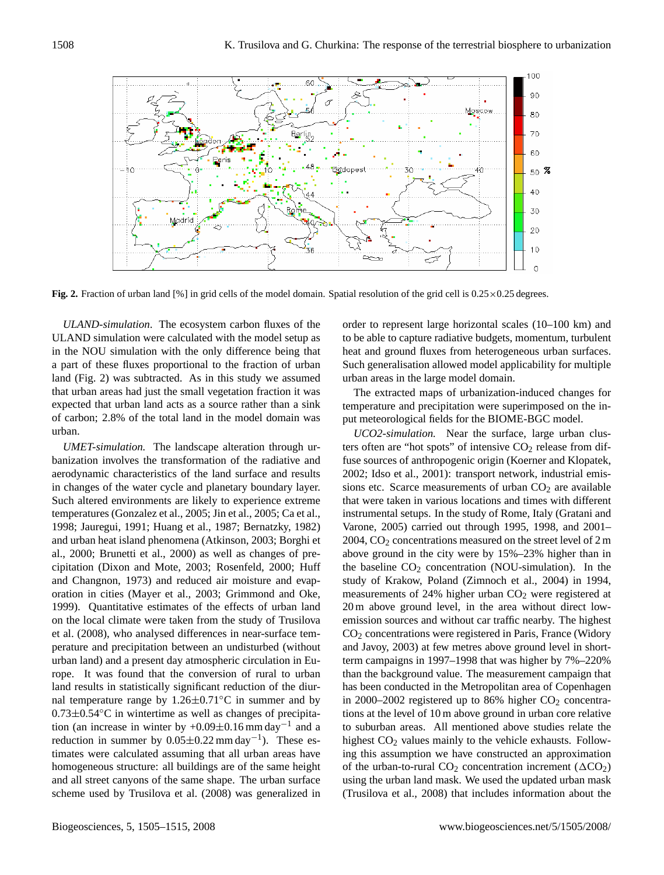

**Fig. 2.** Fraction of urban land [%] in grid cells of the model domain. Spatial resolution of the grid cell is  $0.25 \times 0.25$  degrees.

*ULAND-simulation*. The ecosystem carbon fluxes of the ULAND simulation were calculated with the model setup as in the NOU simulation with the only difference being that a part of these fluxes proportional to the fraction of urban land (Fig. 2) was subtracted. As in this study we assumed that urban areas had just the small vegetation fraction it was expected that urban land acts as a source rather than a sink of carbon; 2.8% of the total land in the model domain was urban.

*UMET-simulation.* The landscape alteration through urbanization involves the transformation of the radiative and aerodynamic characteristics of the land surface and results in changes of the water cycle and planetary boundary layer. Such altered environments are likely to experience extreme temperatures (Gonzalez et al., 2005; Jin et al., 2005; Ca et al., 1998; Jauregui, 1991; Huang et al., 1987; Bernatzky, 1982) and urban heat island phenomena (Atkinson, 2003; Borghi et al., 2000; Brunetti et al., 2000) as well as changes of precipitation (Dixon and Mote, 2003; Rosenfeld, 2000; Huff and Changnon, 1973) and reduced air moisture and evaporation in cities (Mayer et al., 2003; Grimmond and Oke, 1999). Quantitative estimates of the effects of urban land on the local climate were taken from the study of Trusilova et al. (2008), who analysed differences in near-surface temperature and precipitation between an undisturbed (without urban land) and a present day atmospheric circulation in Europe. It was found that the conversion of rural to urban land results in statistically significant reduction of the diurnal temperature range by  $1.26 \pm 0.71$ <sup>o</sup>C in summer and by 0.73±0.54◦C in wintertime as well as changes of precipitation (an increase in winter by +0.09 $\pm$ 0.16 mm day<sup>-1</sup> and a reduction in summer by  $0.05 \pm 0.22$  mm day<sup>-1</sup>). These estimates were calculated assuming that all urban areas have homogeneous structure: all buildings are of the same height and all street canyons of the same shape. The urban surface scheme used by Trusilova et al. (2008) was generalized in order to represent large horizontal scales (10–100 km) and to be able to capture radiative budgets, momentum, turbulent heat and ground fluxes from heterogeneous urban surfaces. Such generalisation allowed model applicability for multiple urban areas in the large model domain.

The extracted maps of urbanization-induced changes for temperature and precipitation were superimposed on the input meteorological fields for the BIOME-BGC model.

*UCO2-simulation.* Near the surface, large urban clusters often are "hot spots" of intensive  $CO<sub>2</sub>$  release from diffuse sources of anthropogenic origin (Koerner and Klopatek, 2002; Idso et al., 2001): transport network, industrial emissions etc. Scarce measurements of urban  $CO<sub>2</sub>$  are available that were taken in various locations and times with different instrumental setups. In the study of Rome, Italy (Gratani and Varone, 2005) carried out through 1995, 1998, and 2001– 2004,  $CO<sub>2</sub>$  concentrations measured on the street level of 2 m above ground in the city were by 15%–23% higher than in the baseline  $CO<sub>2</sub>$  concentration (NOU-simulation). In the study of Krakow, Poland (Zimnoch et al., 2004) in 1994, measurements of 24% higher urban  $CO<sub>2</sub>$  were registered at 20 m above ground level, in the area without direct lowemission sources and without car traffic nearby. The highest CO<sup>2</sup> concentrations were registered in Paris, France (Widory and Javoy, 2003) at few metres above ground level in shortterm campaigns in 1997–1998 that was higher by 7%–220% than the background value. The measurement campaign that has been conducted in the Metropolitan area of Copenhagen in 2000–2002 registered up to 86% higher  $CO<sub>2</sub>$  concentrations at the level of 10 m above ground in urban core relative to suburban areas. All mentioned above studies relate the highest  $CO<sub>2</sub>$  values mainly to the vehicle exhausts. Following this assumption we have constructed an approximation of the urban-to-rural  $CO<sub>2</sub>$  concentration increment ( $\Delta CO<sub>2</sub>$ ) using the urban land mask. We used the updated urban mask (Trusilova et al., 2008) that includes information about the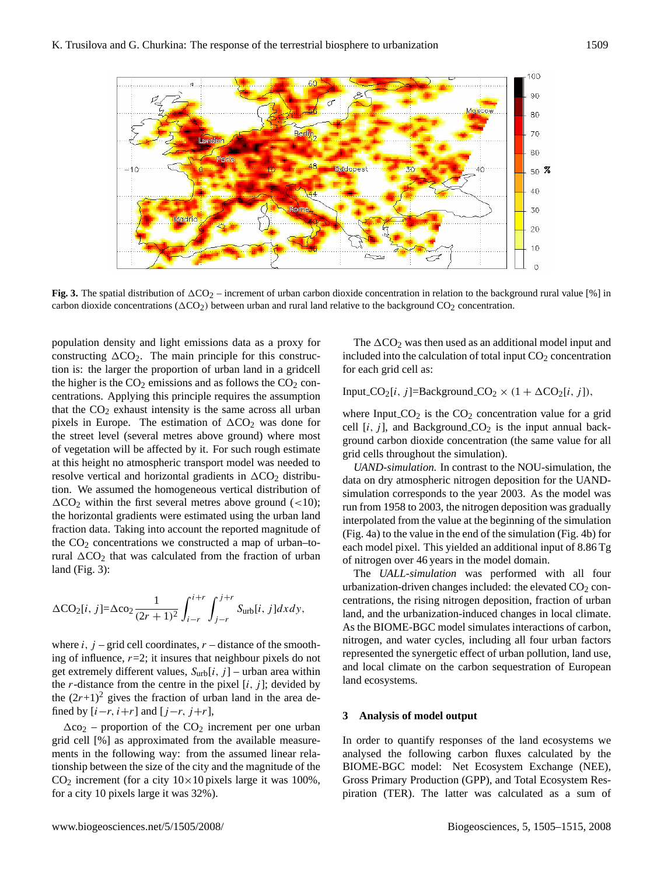

**Fig. 3.** The spatial distribution of  $\Delta CO_2$  – increment of urban carbon dioxide concentration in relation to the background rural value [%] in carbon dioxide concentrations ( $\Delta CO_2$ ) between urban and rural land relative to the background  $CO_2$  concentration.

population density and light emissions data as a proxy for constructing  $\Delta CO_2$ . The main principle for this construction is: the larger the proportion of urban land in a gridcell the higher is the  $CO<sub>2</sub>$  emissions and as follows the  $CO<sub>2</sub>$  concentrations. Applying this principle requires the assumption that the  $CO<sub>2</sub>$  exhaust intensity is the same across all urban pixels in Europe. The estimation of  $\Delta CO_2$  was done for the street level (several metres above ground) where most of vegetation will be affected by it. For such rough estimate at this height no atmospheric transport model was needed to resolve vertical and horizontal gradients in  $\Delta CO_2$  distribution. We assumed the homogeneous vertical distribution of  $\Delta CO_2$  within the first several metres above ground (<10); the horizontal gradients were estimated using the urban land fraction data. Taking into account the reported magnitude of the  $CO<sub>2</sub>$  concentrations we constructed a map of urban–torural  $\Delta CO_2$  that was calculated from the fraction of urban land (Fig. 3):

$$
\Delta\text{CO}_2[i,j] = \Delta\text{CO}_2 \frac{1}{(2r+1)^2} \int_{i-r}^{i+r} \int_{j-r}^{j+r} S_{\text{urb}}[i,j] dx dy,
$$

where  $i$ ,  $j$  – grid cell coordinates,  $r$  – distance of the smoothing of influence,  $r=2$ ; it insures that neighbour pixels do not get extremely different values,  $S_{\text{urb}}[i, j]$  – urban area within the *r*-distance from the centre in the pixel  $[i, j]$ ; devided by the  $(2r+1)^2$  gives the fraction of urban land in the area defined by  $[i-r, i+r]$  and  $[j-r, j+r]$ ,

 $\Delta$ co<sub>2</sub> – proportion of the CO<sub>2</sub> increment per one urban grid cell [%] as approximated from the available measurements in the following way: from the assumed linear relationship between the size of the city and the magnitude of the  $CO<sub>2</sub>$  increment (for a city  $10 \times 10$  pixels large it was 100%, for a city 10 pixels large it was 32%).

The  $\Delta CO_2$  was then used as an additional model input and included into the calculation of total input  $CO<sub>2</sub>$  concentration for each grid cell as:

Input  $CO_2[i, j] =$ Background  $CO_2 \times (1 + \Delta CO_2[i, j])$ ,

where Input  $CO<sub>2</sub>$  is the  $CO<sub>2</sub>$  concentration value for a grid cell  $[i, j]$ , and Background  $CO<sub>2</sub>$  is the input annual background carbon dioxide concentration (the same value for all grid cells throughout the simulation).

*UAND-simulation.* In contrast to the NOU-simulation, the data on dry atmospheric nitrogen deposition for the UANDsimulation corresponds to the year 2003. As the model was run from 1958 to 2003, the nitrogen deposition was gradually interpolated from the value at the beginning of the simulation (Fig. 4a) to the value in the end of the simulation (Fig. 4b) for each model pixel. This yielded an additional input of 8.86 Tg of nitrogen over 46 years in the model domain.

The *UALL-simulation* was performed with all four urbanization-driven changes included: the elevated  $CO<sub>2</sub>$  concentrations, the rising nitrogen deposition, fraction of urban land, and the urbanization-induced changes in local climate. As the BIOME-BGC model simulates interactions of carbon, nitrogen, and water cycles, including all four urban factors represented the synergetic effect of urban pollution, land use, and local climate on the carbon sequestration of European land ecosystems.

## **3 Analysis of model output**

In order to quantify responses of the land ecosystems we analysed the following carbon fluxes calculated by the BIOME-BGC model: Net Ecosystem Exchange (NEE), Gross Primary Production (GPP), and Total Ecosystem Respiration (TER). The latter was calculated as a sum of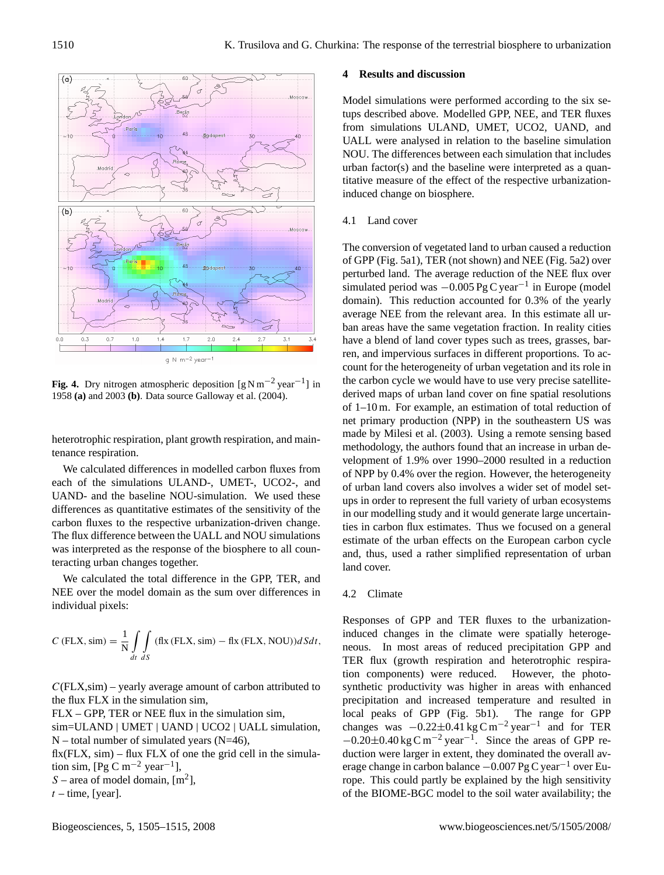

**Fig. 4.** Dry nitrogen atmospheric deposition  $[g N m^{-2} y e a r^{-1}]$  in 1958 **(a)** and 2003 **(b)**. Data source Galloway et al. (2004).

heterotrophic respiration, plant growth respiration, and maintenance respiration.

We calculated differences in modelled carbon fluxes from each of the simulations ULAND-, UMET-, UCO2-, and UAND- and the baseline NOU-simulation. We used these differences as quantitative estimates of the sensitivity of the carbon fluxes to the respective urbanization-driven change. The flux difference between the UALL and NOU simulations was interpreted as the response of the biosphere to all counteracting urban changes together.

We calculated the total difference in the GPP, TER, and NEE over the model domain as the sum over differences in individual pixels:

$$
C \text{ (FLX, sim)} = \frac{1}{N} \int_{dt} \int_{dS} (\text{fix (FLX, sim)} - \text{fix (FLX, NOU)}) dS dt,
$$

 $C$ (FLX,sim) – yearly average amount of carbon attributed to the flux FLX in the simulation sim,

FLX – GPP, TER or NEE flux in the simulation sim,

sim=ULAND | UMET | UAND | UCO2 | UALL simulation,  $N$  – total number of simulated years (N=46),

 $fix(FLX, sim) - flux FLX$  of one the grid cell in the simulation sim, [Pg C m<sup>-2</sup> year<sup>-1</sup>],

S – area of model domain,  $[m^2]$ ,

 $t$  – time, [year].

# **4 Results and discussion**

Model simulations were performed according to the six setups described above. Modelled GPP, NEE, and TER fluxes from simulations ULAND, UMET, UCO2, UAND, and UALL were analysed in relation to the baseline simulation NOU. The differences between each simulation that includes urban factor(s) and the baseline were interpreted as a quantitative measure of the effect of the respective urbanizationinduced change on biosphere.

## 4.1 Land cover

The conversion of vegetated land to urban caused a reduction of GPP (Fig. 5a1), TER (not shown) and NEE (Fig. 5a2) over perturbed land. The average reduction of the NEE flux over simulated period was  $-0.005$  Pg C year<sup>-1</sup> in Europe (model domain). This reduction accounted for 0.3% of the yearly average NEE from the relevant area. In this estimate all urban areas have the same vegetation fraction. In reality cities have a blend of land cover types such as trees, grasses, barren, and impervious surfaces in different proportions. To account for the heterogeneity of urban vegetation and its role in the carbon cycle we would have to use very precise satellitederived maps of urban land cover on fine spatial resolutions of 1–10 m. For example, an estimation of total reduction of net primary production (NPP) in the southeastern US was made by Milesi et al. (2003). Using a remote sensing based methodology, the authors found that an increase in urban development of 1.9% over 1990–2000 resulted in a reduction of NPP by 0.4% over the region. However, the heterogeneity of urban land covers also involves a wider set of model setups in order to represent the full variety of urban ecosystems in our modelling study and it would generate large uncertainties in carbon flux estimates. Thus we focused on a general estimate of the urban effects on the European carbon cycle and, thus, used a rather simplified representation of urban land cover.

## 4.2 Climate

Responses of GPP and TER fluxes to the urbanizationinduced changes in the climate were spatially heterogeneous. In most areas of reduced precipitation GPP and TER flux (growth respiration and heterotrophic respiration components) were reduced. However, the photosynthetic productivity was higher in areas with enhanced precipitation and increased temperature and resulted in local peaks of GPP (Fig. 5b1). The range for GPP changes was  $-0.22 \pm 0.41$  kg C m<sup>-2</sup> year<sup>-1</sup> and for TER  $-0.20\pm0.40$  kg C m<sup>-2</sup> year<sup>-1</sup>. Since the areas of GPP reduction were larger in extent, they dominated the overall average change in carbon balance  $-0.007$  Pg C year<sup>-1</sup> over Europe. This could partly be explained by the high sensitivity of the BIOME-BGC model to the soil water availability; the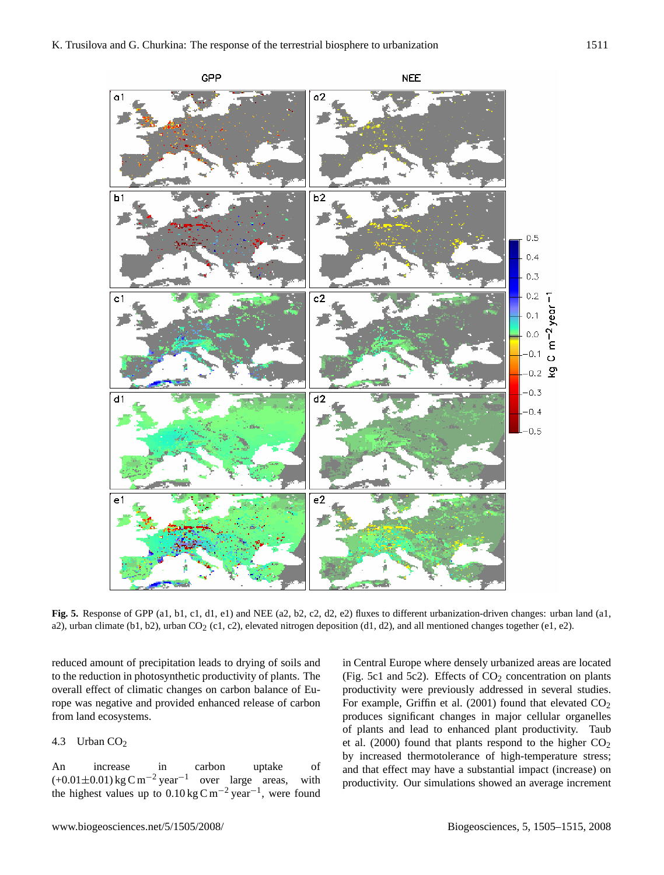

**Fig. 5.** Response of GPP (a1, b1, c1, d1, e1) and NEE (a2, b2, c2, d2, e2) fluxes to different urbanization-driven changes: urban land (a1, a2), urban climate (b1, b2), urban CO<sub>2</sub> (c1, c2), elevated nitrogen deposition (d1, d2), and all mentioned changes together (e1, e2).

reduced amount of precipitation leads to drying of soils and to the reduction in photosynthetic productivity of plants. The overall effect of climatic changes on carbon balance of Europe was negative and provided enhanced release of carbon from land ecosystems.

# 4.3 Urban CO<sub>2</sub>

An increase in carbon uptake of  $(+0.01\pm0.01)$  kg C m<sup>-2</sup> year<sup>-1</sup> over large areas, with the highest values up to  $0.10 \text{ kg C m}^{-2} \text{ year}^{-1}$ , were found in Central Europe where densely urbanized areas are located (Fig. 5c1 and 5c2). Effects of  $CO<sub>2</sub>$  concentration on plants productivity were previously addressed in several studies. For example, Griffin et al. (2001) found that elevated  $CO<sub>2</sub>$ produces significant changes in major cellular organelles of plants and lead to enhanced plant productivity. Taub et al. (2000) found that plants respond to the higher  $CO<sub>2</sub>$ by increased thermotolerance of high-temperature stress; and that effect may have a substantial impact (increase) on productivity. Our simulations showed an average increment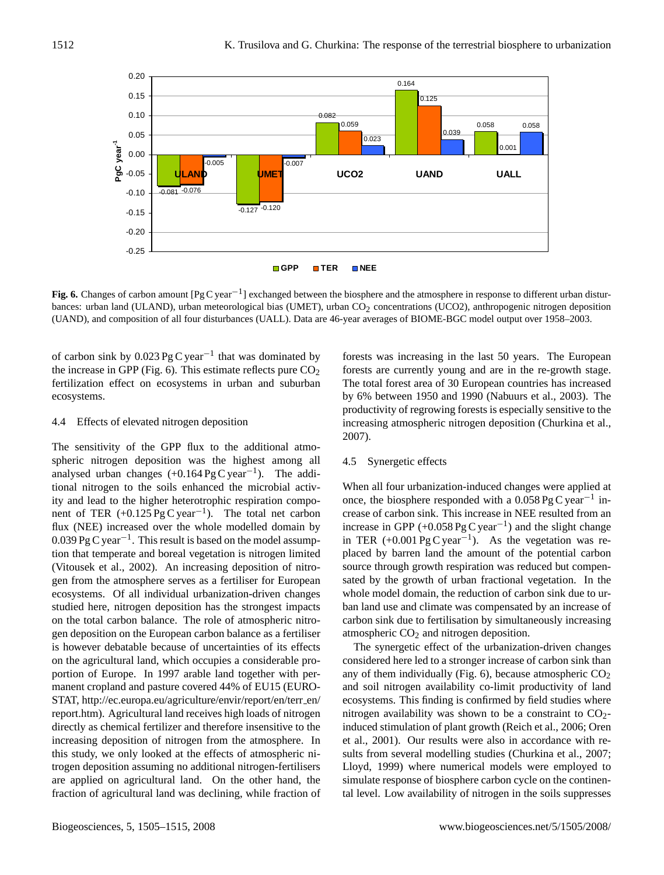

Fig. 6. Changes of carbon amount [Pg C year<sup>-1</sup>] exchanged between the biosphere and the atmosphere in response to different urban disturbances: urban land (ULAND), urban meteorological bias (UMET), urban CO<sub>2</sub> concentrations (UCO2), anthropogenic nitrogen deposition (UAND), and composition of all four disturbances (UALL). Data are 46-year averages of BIOME-BGC model output over 1958–2003.

of carbon sink by  $0.023 \text{ pg C year}^{-1}$  that was dominated by the increase in GPP (Fig. 6). This estimate reflects pure  $CO<sub>2</sub>$ fertilization effect on ecosystems in urban and suburban ecosystems.

# 4.4 Effects of elevated nitrogen deposition

The sensitivity of the GPP flux to the additional atmospheric nitrogen deposition was the highest among all analysed urban changes  $(+0.164 \text{ pg C year}^{-1})$ . The additional nitrogen to the soils enhanced the microbial activity and lead to the higher heterotrophic respiration component of TER  $(+0.125 \,\text{Pg C year}^{-1})$ . The total net carbon flux (NEE) increased over the whole modelled domain by  $0.039$  Pg C year<sup>-1</sup>. This result is based on the model assumption that temperate and boreal vegetation is nitrogen limited (Vitousek et al., 2002). An increasing deposition of nitrogen from the atmosphere serves as a fertiliser for European ecosystems. Of all individual urbanization-driven changes studied here, nitrogen deposition has the strongest impacts on the total carbon balance. The role of atmospheric nitrogen deposition on the European carbon balance as a fertiliser is however debatable because of uncertainties of its effects on the agricultural land, which occupies a considerable proportion of Europe. In 1997 arable land together with permanent cropland and pasture covered 44% of EU15 (EURO-STAT, [http://ec.europa.eu/agriculture/envir/report/en/terr](http://ec.europa.eu/agriculture/envir/report/en/terr_en/report.htm) en/ [report.htm\)](http://ec.europa.eu/agriculture/envir/report/en/terr_en/report.htm). Agricultural land receives high loads of nitrogen directly as chemical fertilizer and therefore insensitive to the increasing deposition of nitrogen from the atmosphere. In this study, we only looked at the effects of atmospheric nitrogen deposition assuming no additional nitrogen-fertilisers are applied on agricultural land. On the other hand, the fraction of agricultural land was declining, while fraction of forests was increasing in the last 50 years. The European forests are currently young and are in the re-growth stage. The total forest area of 30 European countries has increased by 6% between 1950 and 1990 (Nabuurs et al., 2003). The productivity of regrowing forests is especially sensitive to the increasing atmospheric nitrogen deposition (Churkina et al., 2007).

## 4.5 Synergetic effects

When all four urbanization-induced changes were applied at once, the biosphere responded with a 0.058 Pg C year−<sup>1</sup> increase of carbon sink. This increase in NEE resulted from an increase in GPP  $(+0.058 \text{ Pg C year}^{-1})$  and the slight change in TER  $(+0.001 \text{ pg C year}^{-1})$ . As the vegetation was replaced by barren land the amount of the potential carbon source through growth respiration was reduced but compensated by the growth of urban fractional vegetation. In the whole model domain, the reduction of carbon sink due to urban land use and climate was compensated by an increase of carbon sink due to fertilisation by simultaneously increasing atmospheric  $CO<sub>2</sub>$  and nitrogen deposition.

The synergetic effect of the urbanization-driven changes considered here led to a stronger increase of carbon sink than any of them individually (Fig. 6), because atmospheric  $CO<sub>2</sub>$ and soil nitrogen availability co-limit productivity of land ecosystems. This finding is confirmed by field studies where nitrogen availability was shown to be a constraint to  $CO<sub>2</sub>$ induced stimulation of plant growth (Reich et al., 2006; Oren et al., 2001). Our results were also in accordance with results from several modelling studies (Churkina et al., 2007; Lloyd, 1999) where numerical models were employed to simulate response of biosphere carbon cycle on the continental level. Low availability of nitrogen in the soils suppresses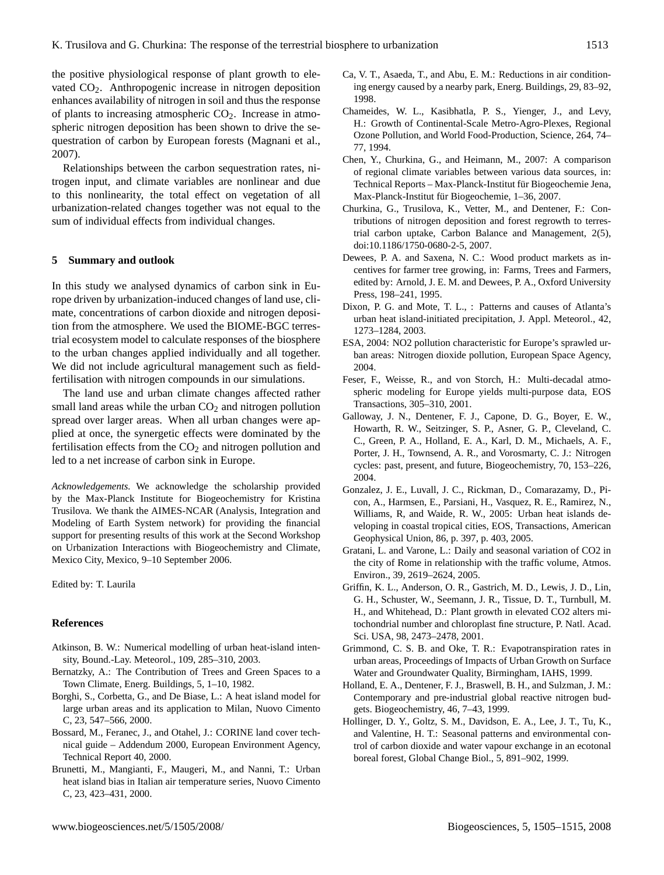the positive physiological response of plant growth to elevated CO2. Anthropogenic increase in nitrogen deposition enhances availability of nitrogen in soil and thus the response of plants to increasing atmospheric  $CO<sub>2</sub>$ . Increase in atmospheric nitrogen deposition has been shown to drive the sequestration of carbon by European forests (Magnani et al., 2007).

Relationships between the carbon sequestration rates, nitrogen input, and climate variables are nonlinear and due to this nonlinearity, the total effect on vegetation of all urbanization-related changes together was not equal to the sum of individual effects from individual changes.

#### **5 Summary and outlook**

In this study we analysed dynamics of carbon sink in Europe driven by urbanization-induced changes of land use, climate, concentrations of carbon dioxide and nitrogen deposition from the atmosphere. We used the BIOME-BGC terrestrial ecosystem model to calculate responses of the biosphere to the urban changes applied individually and all together. We did not include agricultural management such as fieldfertilisation with nitrogen compounds in our simulations.

The land use and urban climate changes affected rather small land areas while the urban  $CO<sub>2</sub>$  and nitrogen pollution spread over larger areas. When all urban changes were applied at once, the synergetic effects were dominated by the fertilisation effects from the  $CO<sub>2</sub>$  and nitrogen pollution and led to a net increase of carbon sink in Europe.

*Acknowledgements.* We acknowledge the scholarship provided by the Max-Planck Institute for Biogeochemistry for Kristina Trusilova. We thank the AIMES-NCAR (Analysis, Integration and Modeling of Earth System network) for providing the financial support for presenting results of this work at the Second Workshop on Urbanization Interactions with Biogeochemistry and Climate, Mexico City, Mexico, 9–10 September 2006.

Edited by: T. Laurila

#### **References**

- Atkinson, B. W.: Numerical modelling of urban heat-island intensity, Bound.-Lay. Meteorol., 109, 285–310, 2003.
- Bernatzky, A.: The Contribution of Trees and Green Spaces to a Town Climate, Energ. Buildings, 5, 1–10, 1982.
- Borghi, S., Corbetta, G., and De Biase, L.: A heat island model for large urban areas and its application to Milan, Nuovo Cimento C, 23, 547–566, 2000.
- Bossard, M., Feranec, J., and Otahel, J.: CORINE land cover technical guide – Addendum 2000, European Environment Agency, Technical Report 40, 2000.
- Brunetti, M., Mangianti, F., Maugeri, M., and Nanni, T.: Urban heat island bias in Italian air temperature series, Nuovo Cimento C, 23, 423–431, 2000.
- Ca, V. T., Asaeda, T., and Abu, E. M.: Reductions in air conditioning energy caused by a nearby park, Energ. Buildings, 29, 83–92, 1998.
- Chameides, W. L., Kasibhatla, P. S., Yienger, J., and Levy, H.: Growth of Continental-Scale Metro-Agro-Plexes, Regional Ozone Pollution, and World Food-Production, Science, 264, 74– 77, 1994.
- Chen, Y., Churkina, G., and Heimann, M., 2007: A comparison of regional climate variables between various data sources, in: Technical Reports – Max-Planck-Institut für Biogeochemie Jena, Max-Planck-Institut für Biogeochemie, 1–36, 2007.
- Churkina, G., Trusilova, K., Vetter, M., and Dentener, F.: Contributions of nitrogen deposition and forest regrowth to terrestrial carbon uptake, Carbon Balance and Management, 2(5), doi:10.1186/1750-0680-2-5, 2007.
- Dewees, P. A. and Saxena, N. C.: Wood product markets as incentives for farmer tree growing, in: Farms, Trees and Farmers, edited by: Arnold, J. E. M. and Dewees, P. A., Oxford University Press, 198–241, 1995.
- Dixon, P. G. and Mote, T. L., : Patterns and causes of Atlanta's urban heat island-initiated precipitation, J. Appl. Meteorol., 42, 1273–1284, 2003.
- ESA, 2004: NO2 pollution characteristic for Europe's sprawled urban areas: Nitrogen dioxide pollution, European Space Agency, 2004.
- Feser, F., Weisse, R., and von Storch, H.: Multi-decadal atmospheric modeling for Europe yields multi-purpose data, EOS Transactions, 305–310, 2001.
- Galloway, J. N., Dentener, F. J., Capone, D. G., Boyer, E. W., Howarth, R. W., Seitzinger, S. P., Asner, G. P., Cleveland, C. C., Green, P. A., Holland, E. A., Karl, D. M., Michaels, A. F., Porter, J. H., Townsend, A. R., and Vorosmarty, C. J.: Nitrogen cycles: past, present, and future, Biogeochemistry, 70, 153–226, 2004.
- Gonzalez, J. E., Luvall, J. C., Rickman, D., Comarazamy, D., Picon, A., Harmsen, E., Parsiani, H., Vasquez, R. E., Ramirez, N., Williams, R, and Waide, R. W., 2005: Urban heat islands developing in coastal tropical cities, EOS, Transactions, American Geophysical Union, 86, p. 397, p. 403, 2005.
- Gratani, L. and Varone, L.: Daily and seasonal variation of CO2 in the city of Rome in relationship with the traffic volume, Atmos. Environ., 39, 2619–2624, 2005.
- Griffin, K. L., Anderson, O. R., Gastrich, M. D., Lewis, J. D., Lin, G. H., Schuster, W., Seemann, J. R., Tissue, D. T., Turnbull, M. H., and Whitehead, D.: Plant growth in elevated CO2 alters mitochondrial number and chloroplast fine structure, P. Natl. Acad. Sci. USA, 98, 2473–2478, 2001.
- Grimmond, C. S. B. and Oke, T. R.: Evapotranspiration rates in urban areas, Proceedings of Impacts of Urban Growth on Surface Water and Groundwater Quality, Birmingham, IAHS, 1999.
- Holland, E. A., Dentener, F. J., Braswell, B. H., and Sulzman, J. M.: Contemporary and pre-industrial global reactive nitrogen budgets. Biogeochemistry, 46, 7–43, 1999.
- Hollinger, D. Y., Goltz, S. M., Davidson, E. A., Lee, J. T., Tu, K., and Valentine, H. T.: Seasonal patterns and environmental control of carbon dioxide and water vapour exchange in an ecotonal boreal forest, Global Change Biol., 5, 891–902, 1999.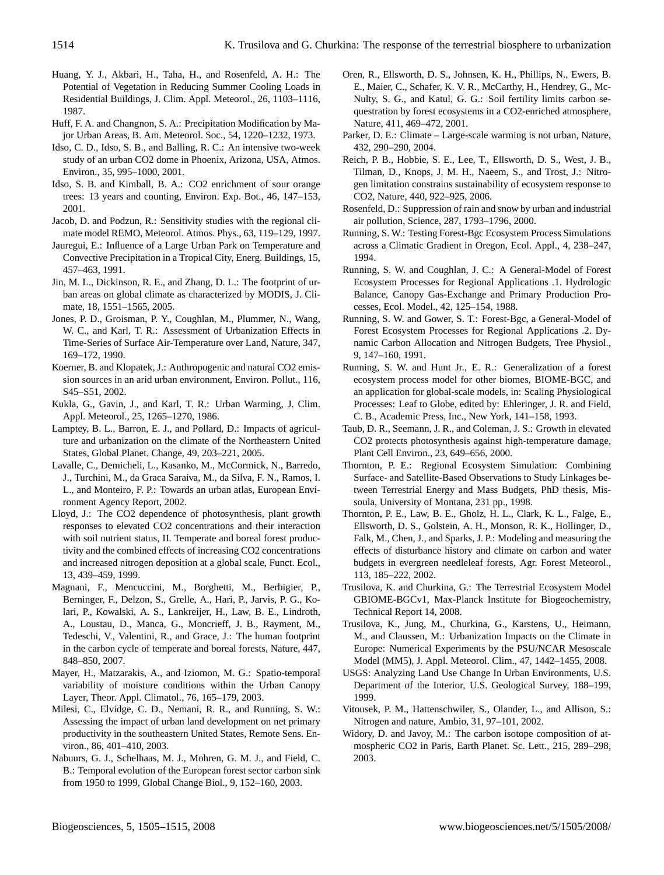- Huang, Y. J., Akbari, H., Taha, H., and Rosenfeld, A. H.: The Potential of Vegetation in Reducing Summer Cooling Loads in Residential Buildings, J. Clim. Appl. Meteorol., 26, 1103–1116, 1987.
- Huff, F. A. and Changnon, S. A.: Precipitation Modification by Major Urban Areas, B. Am. Meteorol. Soc., 54, 1220–1232, 1973.
- Idso, C. D., Idso, S. B., and Balling, R. C.: An intensive two-week study of an urban CO2 dome in Phoenix, Arizona, USA, Atmos. Environ., 35, 995–1000, 2001.
- Idso, S. B. and Kimball, B. A.: CO2 enrichment of sour orange trees: 13 years and counting, Environ. Exp. Bot., 46, 147–153, 2001.
- Jacob, D. and Podzun, R.: Sensitivity studies with the regional climate model REMO, Meteorol. Atmos. Phys., 63, 119–129, 1997.
- Jauregui, E.: Influence of a Large Urban Park on Temperature and Convective Precipitation in a Tropical City, Energ. Buildings, 15, 457–463, 1991.
- Jin, M. L., Dickinson, R. E., and Zhang, D. L.: The footprint of urban areas on global climate as characterized by MODIS, J. Climate, 18, 1551–1565, 2005.
- Jones, P. D., Groisman, P. Y., Coughlan, M., Plummer, N., Wang, W. C., and Karl, T. R.: Assessment of Urbanization Effects in Time-Series of Surface Air-Temperature over Land, Nature, 347, 169–172, 1990.
- Koerner, B. and Klopatek, J.: Anthropogenic and natural CO2 emission sources in an arid urban environment, Environ. Pollut., 116, S45–S51, 2002.
- Kukla, G., Gavin, J., and Karl, T. R.: Urban Warming, J. Clim. Appl. Meteorol., 25, 1265–1270, 1986.
- Lamptey, B. L., Barron, E. J., and Pollard, D.: Impacts of agriculture and urbanization on the climate of the Northeastern United States, Global Planet. Change, 49, 203–221, 2005.
- Lavalle, C., Demicheli, L., Kasanko, M., McCormick, N., Barredo, J., Turchini, M., da Graca Saraiva, M., da Silva, F. N., Ramos, I. L., and Monteiro, F. P.: Towards an urban atlas, European Environment Agency Report, 2002.
- Lloyd, J.: The CO2 dependence of photosynthesis, plant growth responses to elevated CO2 concentrations and their interaction with soil nutrient status, II. Temperate and boreal forest productivity and the combined effects of increasing CO2 concentrations and increased nitrogen deposition at a global scale, Funct. Ecol., 13, 439–459, 1999.
- Magnani, F., Mencuccini, M., Borghetti, M., Berbigier, P., Berninger, F., Delzon, S., Grelle, A., Hari, P., Jarvis, P. G., Kolari, P., Kowalski, A. S., Lankreijer, H., Law, B. E., Lindroth, A., Loustau, D., Manca, G., Moncrieff, J. B., Rayment, M., Tedeschi, V., Valentini, R., and Grace, J.: The human footprint in the carbon cycle of temperate and boreal forests, Nature, 447, 848–850, 2007.
- Mayer, H., Matzarakis, A., and Iziomon, M. G.: Spatio-temporal variability of moisture conditions within the Urban Canopy Layer, Theor. Appl. Climatol., 76, 165–179, 2003.
- Milesi, C., Elvidge, C. D., Nemani, R. R., and Running, S. W.: Assessing the impact of urban land development on net primary productivity in the southeastern United States, Remote Sens. Environ., 86, 401–410, 2003.
- Nabuurs, G. J., Schelhaas, M. J., Mohren, G. M. J., and Field, C. B.: Temporal evolution of the European forest sector carbon sink from 1950 to 1999, Global Change Biol., 9, 152–160, 2003.
- Oren, R., Ellsworth, D. S., Johnsen, K. H., Phillips, N., Ewers, B. E., Maier, C., Schafer, K. V. R., McCarthy, H., Hendrey, G., Mc-Nulty, S. G., and Katul, G. G.: Soil fertility limits carbon sequestration by forest ecosystems in a CO2-enriched atmosphere, Nature, 411, 469–472, 2001.
- Parker, D. E.: Climate Large-scale warming is not urban, Nature, 432, 290–290, 2004.
- Reich, P. B., Hobbie, S. E., Lee, T., Ellsworth, D. S., West, J. B., Tilman, D., Knops, J. M. H., Naeem, S., and Trost, J.: Nitrogen limitation constrains sustainability of ecosystem response to CO2, Nature, 440, 922–925, 2006.
- Rosenfeld, D.: Suppression of rain and snow by urban and industrial air pollution, Science, 287, 1793–1796, 2000.
- Running, S. W.: Testing Forest-Bgc Ecosystem Process Simulations across a Climatic Gradient in Oregon, Ecol. Appl., 4, 238–247, 1994.
- Running, S. W. and Coughlan, J. C.: A General-Model of Forest Ecosystem Processes for Regional Applications .1. Hydrologic Balance, Canopy Gas-Exchange and Primary Production Processes, Ecol. Model., 42, 125–154, 1988.
- Running, S. W. and Gower, S. T.: Forest-Bgc, a General-Model of Forest Ecosystem Processes for Regional Applications .2. Dynamic Carbon Allocation and Nitrogen Budgets, Tree Physiol., 9, 147–160, 1991.
- Running, S. W. and Hunt Jr., E. R.: Generalization of a forest ecosystem process model for other biomes, BIOME-BGC, and an application for global-scale models, in: Scaling Physiological Processes: Leaf to Globe, edited by: Ehleringer, J. R. and Field, C. B., Academic Press, Inc., New York, 141–158, 1993.
- Taub, D. R., Seemann, J. R., and Coleman, J. S.: Growth in elevated CO2 protects photosynthesis against high-temperature damage, Plant Cell Environ., 23, 649–656, 2000.
- Thornton, P. E.: Regional Ecosystem Simulation: Combining Surface- and Satellite-Based Observations to Study Linkages between Terrestrial Energy and Mass Budgets, PhD thesis, Missoula, University of Montana, 231 pp., 1998.
- Thornton, P. E., Law, B. E., Gholz, H. L., Clark, K. L., Falge, E., Ellsworth, D. S., Golstein, A. H., Monson, R. K., Hollinger, D., Falk, M., Chen, J., and Sparks, J. P.: Modeling and measuring the effects of disturbance history and climate on carbon and water budgets in evergreen needleleaf forests, Agr. Forest Meteorol., 113, 185–222, 2002.
- Trusilova, K. and Churkina, G.: The Terrestrial Ecosystem Model GBIOME-BGCv1, Max-Planck Institute for Biogeochemistry, Technical Report 14, 2008.
- Trusilova, K., Jung, M., Churkina, G., Karstens, U., Heimann, M., and Claussen, M.: Urbanization Impacts on the Climate in Europe: Numerical Experiments by the PSU/NCAR Mesoscale Model (MM5), J. Appl. Meteorol. Clim., 47, 1442–1455, 2008.
- USGS: Analyzing Land Use Change In Urban Environments, U.S. Department of the Interior, U.S. Geological Survey, 188–199, 1999.
- Vitousek, P. M., Hattenschwiler, S., Olander, L., and Allison, S.: Nitrogen and nature, Ambio, 31, 97–101, 2002.
- Widory, D. and Javoy, M.: The carbon isotope composition of atmospheric CO2 in Paris, Earth Planet. Sc. Lett., 215, 289–298, 2003.